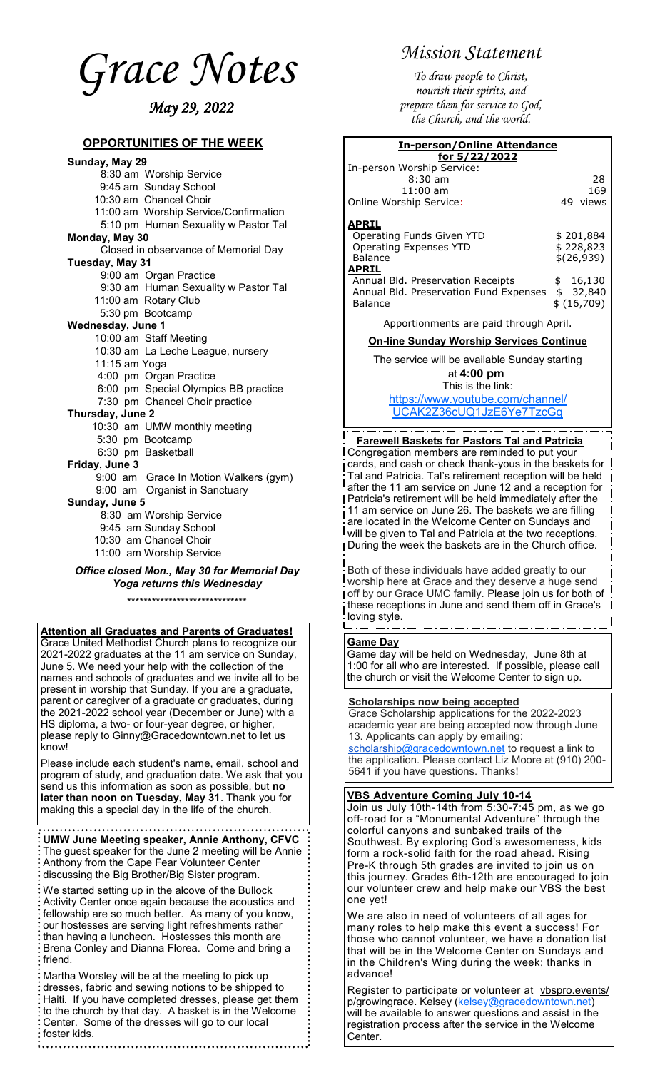<span id="page-0-0"></span>*Grace Notes May 29, 2022*

### **OPPORTUNITIES OF THE WEEK**

#### **Sunday, May 29**

- 8:30 am Worship Service
- 9:45 am Sunday School 10:30 am Chancel Choir
- 11:00 am Worship Service/Confirmation
- 5:10 pm Human Sexuality w Pastor Tal

### **Monday, May 30**

- Closed in observance of Memorial Day **Tuesday, May 31**
- - 9:00 am Organ Practice 9:30 am Human Sexuality w Pastor Tal
	- 11:00 am Rotary Club
	- 5:30 pm Bootcamp

## **Wednesday, June 1**

- 10:00 am Staff Meeting
- 10:30 am La Leche League, nursery
- 11:15 am Yoga
- 4:00 pm Organ Practice
- 6:00 pm Special Olympics BB practice
- 
- 7:30 pm Chancel Choir practice
- **Thursday, June 2**
	- 10:30 am UMW monthly meeting
	- 5:30 pm Bootcamp
	- 6:30 pm Basketball
- **Friday, June 3**
	- 9:00 am Grace In Motion Walkers (gym) 9:00 am Organist in Sanctuary

#### **Sunday, June 5**

- 8:30 am Worship Service
- 9:45 am Sunday School
- 10:30 am Chancel Choir
- 11:00 am Worship Service

#### *Office closed Mon., May 30 for Memorial Day Yoga returns this Wednesday*

\*\*\*\*\*\*\*\*\*\*\*\*\*\*\*\*\*\*\*\*\*\*\*\*\*\*\*\*\*

#### **Attention all Graduates and Parents of Graduates!**

Grace United Methodist Church plans to recognize our 2021-2022 graduates at the 11 am service on Sunday, June 5. We need your help with the collection of the names and schools of graduates and we invite all to be present in worship that Sunday. If you are a graduate, parent or caregiver of a graduate or graduates, during the 2021-2022 school year (December or June) with a HS diploma, a two- or four-year degree, or higher, please reply to Ginny@Gracedowntown.net to let us know!

Please include each student's name, email, school and program of study, and graduation date. We ask that you send us this information as soon as possible, but **no later than noon on Tuesday, May 31**. Thank you for making this a special day in the life of the church.

#### **UMW June Meeting speaker, Annie Anthony, CFVC**

The guest speaker for the June 2 meeting will be Annie Anthony from the Cape Fear Volunteer Center discussing the Big Brother/Big Sister program.

We started setting up in the alcove of the Bullock Activity Center once again because the acoustics and fellowship are so much better. As many of you know, our hostesses are serving light refreshments rather than having a luncheon. Hostesses this month are Brena Conley and Dianna Florea. Come and bring a friend.

Martha Worsley will be at the meeting to pick up dresses, fabric and sewing notions to be shipped to Haiti. If you have completed dresses, please get them to the church by that day. A basket is in the Welcome Center. Some of the dresses will go to our local foster kids. 

# *Mission Statement*

*To draw people to Christ, nourish their spirits, and prepare them for service to God, the Church, and the world.*

| <b>In-person/Online Attendance</b><br>for 5/22/2022 |     |             |
|-----------------------------------------------------|-----|-------------|
|                                                     |     |             |
| $8:30$ am                                           |     | 28          |
| $11:00$ am                                          |     | 169         |
| Online Worship Service:                             | 49. | views       |
| APRIL                                               |     |             |
| Operating Funds Given YTD                           |     | \$201,884   |
| Operating Expenses YTD                              |     | \$228,823   |
| Balance                                             |     | \$(26,939)  |
| APRIL                                               |     |             |
| Annual Bld. Preservation Receipts                   | \$  | 16,130      |
| Annual Bld. Preservation Fund Expenses              | \$  | 32,840      |
| Balance                                             |     | \$ (16,709) |

Apportionments are paid through April.

**On-line Sunday Worship Services Continue** 

The service will be available Sunday starting

#### at **4:00 pm** This is the link:

[https://www.youtube.com/channel/](#page-0-0) [UCAK2Z36cUQ1JzE6Ye7TzcGg](#page-0-0)

#### **Farewell Baskets for Pastors Tal and Patricia** Congregation members are reminded to put your cards, and cash or check thank-yous in the baskets for Tal and Patricia. Tal's retirement reception will be held after the 11 am service on June 12 and a reception for Patricia's retirement will be held immediately after the 11 am service on June 26. The baskets we are filling

are located in the Welcome Center on Sundays and will be given to Tal and Patricia at the two receptions. During the week the baskets are in the Church office.

Both of these individuals have added greatly to our worship here at Grace and they deserve a huge send off by our Grace UMC family. Please join us for both of these receptions in June and send them off in Grace's loving style.

### **Game Day**

Game day will be held on Wednesday, June 8th at 1:00 for all who are interested. If possible, please call the church or visit the Welcome Center to sign up.

#### **Scholarships now being accepted**

Grace Scholarship applications for the 2022-2023 academic year are being accepted now through June 13. Applicants can apply by emailing:

[scholarship@gracedowntown.net](mailto:scholarship@gracedowntown.net) to request a link to the application. Please contact Liz Moore at (910) 200- 5641 if you have questions. Thanks!

## **VBS Adventure Coming July 10-14**

Join us July 10th-14th from 5:30-7:45 pm, as we go off-road for a "Monumental Adventure" through the colorful canyons and sunbaked trails of the Southwest. By exploring God's awesomeness, kids form a rock-solid faith for the road ahead. Rising Pre-K through 5th grades are invited to join us on this journey. Grades 6th-12th are encouraged to join our volunteer crew and help make our VBS the best one yet!

We are also in need of volunteers of all ages for many roles to help make this event a success! For those who cannot volunteer, we have a donation list that will be in the Welcome Center on Sundays and in the Children's Wing during the week; thanks in advance!

Register to participate or volunteer at [vbspro.events/](https://vbspro.events/p/growingrace) [p/growingrace.](https://vbspro.events/p/growingrace) Kelsey ([kelsey@gracedowntown.net\)](mailto:kelsey@gracedowntown.net) will be available to answer questions and assist in the registration process after the service in the Welcome Center.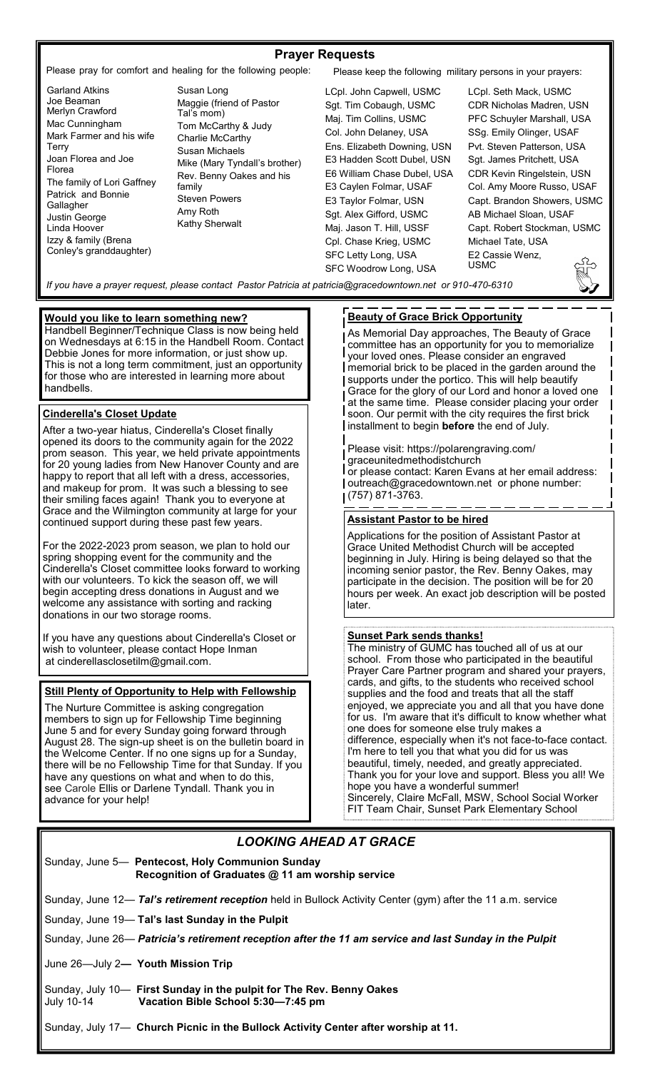### **Prayer Requests**

Please pray for comfort and healing for the following people: Please keep the following military persons in your prayers:

- Garland Atkins Joe Beaman Merlyn Crawford Mac Cunningham Mark Farmer and his wife Terry Joan Florea and Joe Florea The family of Lori Gaffney Patrick and Bonnie Gallagher Justin George Linda Hoover Izzy & family (Brena Conley's granddaughter)
- Susan Long Maggie (friend of Pastor Tal's mom) Tom McCarthy & Judy Charlie McCarthy Susan Michaels Mike (Mary Tyndall's brother) Rev. Benny Oakes and his family Steven Powers Amy Roth Kathy Sherwalt

LCpl. John Capwell, USMC Sgt. Tim Cobaugh, USMC Maj. Tim Collins, USMC Col. John Delaney, USA Ens. Elizabeth Downing, USN E3 Hadden Scott Dubel, USN E6 William Chase Dubel, USA E3 Caylen Folmar, USAF E3 Taylor Folmar, USN Sgt. Alex Gifford, USMC Maj. Jason T. Hill, USSF Cpl. Chase Krieg, USMC SFC Letty Long, USA SFC Woodrow Long, USA

LCpl. Seth Mack, USMC CDR Nicholas Madren, USN PFC Schuyler Marshall, USA SSg. Emily Olinger, USAF Pvt. Steven Patterson, USA Sgt. James Pritchett, USA CDR Kevin Ringelstein, USN Col. Amy Moore Russo, USAF Capt. Brandon Showers, USMC AB Michael Sloan, USAF Capt. Robert Stockman, USMC Michael Tate, USA E2 Cassie Wenz, USMC

*If you have a prayer request, please contact Pastor Patricia at patricia@gracedowntown.net or 910-470-6310* 

### **Would you like to learn something new?**

Handbell Beginner/Technique Class is now being held on Wednesdays at 6:15 in the Handbell Room. Contact Debbie Jones for more information, or just show up. This is not a long term commitment, just an opportunity for those who are interested in learning more about handbells.

#### **Cinderella's Closet Update**

After a two-year hiatus, Cinderella's Closet finally opened its doors to the community again for the 2022 prom season. This year, we held private appointments for 20 young ladies from New Hanover County and are happy to report that all left with a dress, accessories, and makeup for prom. It was such a blessing to see their smiling faces again! Thank you to everyone at Grace and the Wilmington community at large for your continued support during these past few years.

For the 2022-2023 prom season, we plan to hold our spring shopping event for the community and the Cinderella's Closet committee looks forward to working with our volunteers. To kick the season off, we will begin accepting dress donations in August and we welcome any assistance with sorting and racking donations in our two storage rooms.

If you have any questions about Cinderella's Closet or wish to volunteer, please contact Hope Inman at cinderellasclosetilm@gmail.com.

#### **Still Plenty of Opportunity to Help with Fellowship**

The Nurture Committee is asking congregation members to sign up for Fellowship Time beginning June 5 and for every Sunday going forward through August 28. The sign-up sheet is on the bulletin board in the Welcome Center. If no one signs up for a Sunday, there will be no Fellowship Time for that Sunday. If you have any questions on what and when to do this, see Carole Ellis or Darlene Tyndall. Thank you in advance for your help!

### **Beauty of Grace Brick Opportunity**

As Memorial Day approaches, The Beauty of Grace committee has an opportunity for you to memorialize your loved ones. Please consider an engraved memorial brick to be placed in the garden around the supports under the portico. This will help beautify Grace for the glory of our Lord and honor a loved one at the same time. Please consider placing your order soon. Our permit with the city requires the first brick installment to begin **before** the end of July.

Please visit: https://polarengraving.com/ graceunitedmethodistchurch  $\overline{I}$  or please contact: Karen Evans at her email address: outreach@gracedowntown.net or phone number: (757) 871-3763.

### **Assistant Pastor to be hired**

Applications for the position of Assistant Pastor at Grace United Methodist Church will be accepted beginning in July. Hiring is being delayed so that the incoming senior pastor, the Rev. Benny Oakes, may participate in the decision. The position will be for 20 hours per week. An exact job description will be posted later.

#### **Sunset Park sends thanks!**

The ministry of GUMC has touched all of us at our school. From those who participated in the beautiful Prayer Care Partner program and shared your prayers, cards, and gifts, to the students who received school supplies and the food and treats that all the staff enjoyed, we appreciate you and all that you have done for us. I'm aware that it's difficult to know whether what one does for someone else truly makes a difference, especially when it's not face-to-face contact. I'm here to tell you that what you did for us was beautiful, timely, needed, and greatly appreciated. Thank you for your love and support. Bless you all! We hope you have a wonderful summer! Sincerely, Claire McFall, MSW, School Social Worker FIT Team Chair, Sunset Park Elementary School

### *LOOKING AHEAD AT GRACE*

| Sunday, June 5— Pentecost, Holy Communion Sunday |
|--------------------------------------------------|
| Recognition of Graduates @ 11 am worship service |

Sunday, June 12— *Tal's retirement reception* held in Bullock Activity Center (gym) after the 11 a.m. service

Sunday, June 19— **Tal's last Sunday in the Pulpit**

Sunday, June 26— *Patricia's retirement reception after the 11 am service and last Sunday in the Pulpit*

June 26—July 2*—* **Youth Mission Trip**

Sunday, July 10— **First Sunday in the pulpit for The Rev. Benny Oakes**  July 10-14 **Vacation Bible School 5:30—7:45 pm**

Sunday, July 17— **Church Picnic in the Bullock Activity Center after worship at 11.**